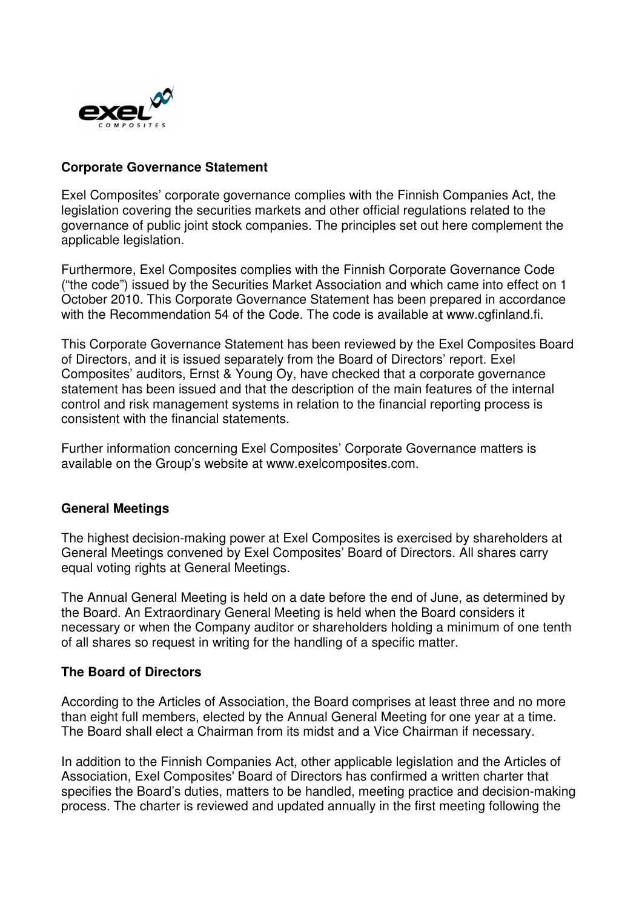

# **Corporate Governance Statement**

Exel Composites' corporate governance complies with the Finnish Companies Act, the legislation covering the securities markets and other official regulations related to the governance of public joint stock companies. The principles set out here complement the applicable legislation.

Furthermore, Exel Composites complies with the Finnish Corporate Governance Code ("the code") issued by the Securities Market Association and which came into effect on 1 October 2010. This Corporate Governance Statement has been prepared in accordance with the Recommendation 54 of the Code. The code is available at www.cgfinland.fi.

This Corporate Governance Statement has been reviewed by the Exel Composites Board of Directors, and it is issued separately from the Board of Directors' report. Exel Composites' auditors, Ernst & Young Oy, have checked that a corporate governance statement has been issued and that the description of the main features of the internal control and risk management systems in relation to the financial reporting process is consistent with the financial statements.

Further information concerning Exel Composites' Corporate Governance matters is available on the Group's website at www.exelcomposites.com.

## **General Meetings**

The highest decision-making power at Exel Composites is exercised by shareholders at General Meetings convened by Exel Composites' Board of Directors. All shares carry equal voting rights at General Meetings.

The Annual General Meeting is held on a date before the end of June, as determined by the Board. An Extraordinary General Meeting is held when the Board considers it necessary or when the Company auditor or shareholders holding a minimum of one tenth of all shares so request in writing for the handling of a specific matter.

## **The Board of Directors**

According to the Articles of Association, the Board comprises at least three and no more than eight full members, elected by the Annual General Meeting for one year at a time. The Board shall elect a Chairman from its midst and a Vice Chairman if necessary.

In addition to the Finnish Companies Act, other applicable legislation and the Articles of Association, Exel Composites' Board of Directors has confirmed a written charter that specifies the Board's duties, matters to be handled, meeting practice and decision-making process. The charter is reviewed and updated annually in the first meeting following the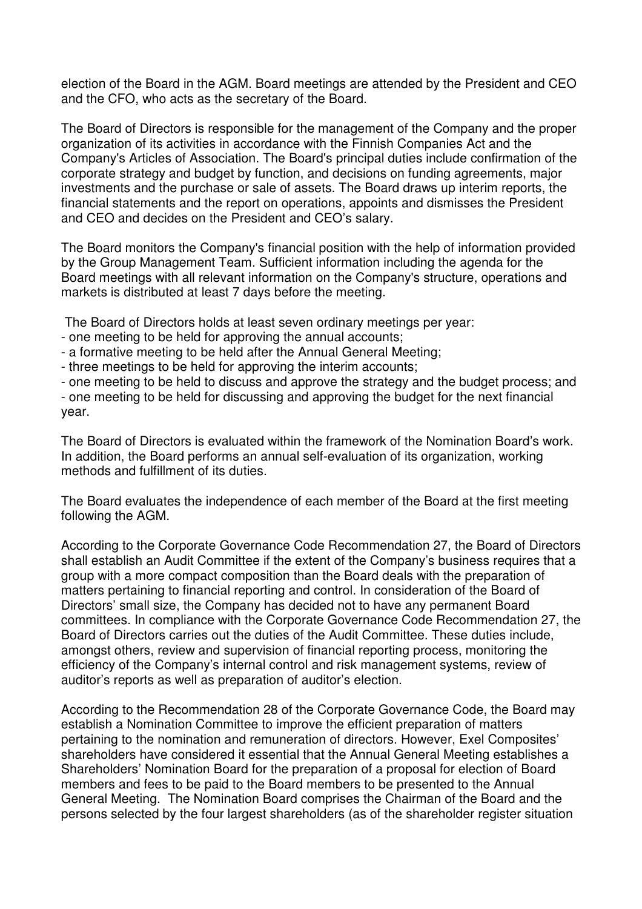election of the Board in the AGM. Board meetings are attended by the President and CEO and the CFO, who acts as the secretary of the Board.

The Board of Directors is responsible for the management of the Company and the proper organization of its activities in accordance with the Finnish Companies Act and the Company's Articles of Association. The Board's principal duties include confirmation of the corporate strategy and budget by function, and decisions on funding agreements, major investments and the purchase or sale of assets. The Board draws up interim reports, the financial statements and the report on operations, appoints and dismisses the President and CEO and decides on the President and CEO's salary.

The Board monitors the Company's financial position with the help of information provided by the Group Management Team. Sufficient information including the agenda for the Board meetings with all relevant information on the Company's structure, operations and markets is distributed at least 7 days before the meeting.

The Board of Directors holds at least seven ordinary meetings per year:

- one meeting to be held for approving the annual accounts;
- a formative meeting to be held after the Annual General Meeting;
- three meetings to be held for approving the interim accounts;

- one meeting to be held to discuss and approve the strategy and the budget process; and - one meeting to be held for discussing and approving the budget for the next financial year.

The Board of Directors is evaluated within the framework of the Nomination Board's work. In addition, the Board performs an annual self-evaluation of its organization, working methods and fulfillment of its duties.

The Board evaluates the independence of each member of the Board at the first meeting following the AGM.

According to the Corporate Governance Code Recommendation 27, the Board of Directors shall establish an Audit Committee if the extent of the Company's business requires that a group with a more compact composition than the Board deals with the preparation of matters pertaining to financial reporting and control. In consideration of the Board of Directors' small size, the Company has decided not to have any permanent Board committees. In compliance with the Corporate Governance Code Recommendation 27, the Board of Directors carries out the duties of the Audit Committee. These duties include, amongst others, review and supervision of financial reporting process, monitoring the efficiency of the Company's internal control and risk management systems, review of auditor's reports as well as preparation of auditor's election.

According to the Recommendation 28 of the Corporate Governance Code, the Board may establish a Nomination Committee to improve the efficient preparation of matters pertaining to the nomination and remuneration of directors. However, Exel Composites' shareholders have considered it essential that the Annual General Meeting establishes a Shareholders' Nomination Board for the preparation of a proposal for election of Board members and fees to be paid to the Board members to be presented to the Annual General Meeting. The Nomination Board comprises the Chairman of the Board and the persons selected by the four largest shareholders (as of the shareholder register situation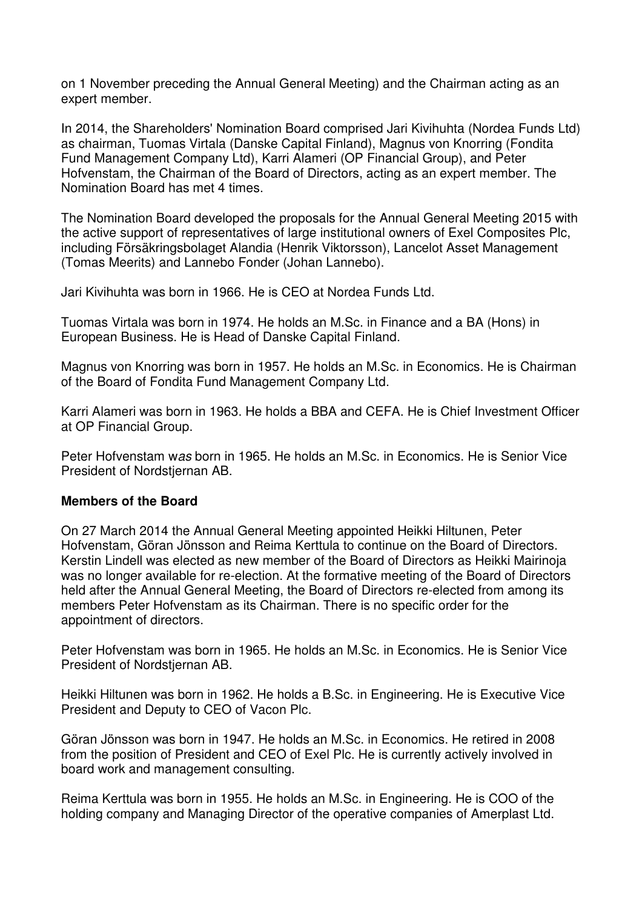on 1 November preceding the Annual General Meeting) and the Chairman acting as an expert member.

In 2014, the Shareholders' Nomination Board comprised Jari Kivihuhta (Nordea Funds Ltd) as chairman, Tuomas Virtala (Danske Capital Finland), Magnus von Knorring (Fondita Fund Management Company Ltd), Karri Alameri (OP Financial Group), and Peter Hofvenstam, the Chairman of the Board of Directors, acting as an expert member. The Nomination Board has met 4 times.

The Nomination Board developed the proposals for the Annual General Meeting 2015 with the active support of representatives of large institutional owners of Exel Composites Plc, including Försäkringsbolaget Alandia (Henrik Viktorsson), Lancelot Asset Management (Tomas Meerits) and Lannebo Fonder (Johan Lannebo).

Jari Kivihuhta was born in 1966. He is CEO at Nordea Funds Ltd.

Tuomas Virtala was born in 1974. He holds an M.Sc. in Finance and a BA (Hons) in European Business. He is Head of Danske Capital Finland.

Magnus von Knorring was born in 1957. He holds an M.Sc. in Economics. He is Chairman of the Board of Fondita Fund Management Company Ltd.

Karri Alameri was born in 1963. He holds a BBA and CEFA. He is Chief Investment Officer at OP Financial Group.

Peter Hofvenstam was born in 1965. He holds an M.Sc. in Economics. He is Senior Vice President of Nordstiernan AB.

## **Members of the Board**

On 27 March 2014 the Annual General Meeting appointed Heikki Hiltunen, Peter Hofvenstam, Göran Jönsson and Reima Kerttula to continue on the Board of Directors. Kerstin Lindell was elected as new member of the Board of Directors as Heikki Mairinoja was no longer available for re-election. At the formative meeting of the Board of Directors held after the Annual General Meeting, the Board of Directors re-elected from among its members Peter Hofvenstam as its Chairman. There is no specific order for the appointment of directors.

Peter Hofvenstam was born in 1965. He holds an M.Sc. in Economics. He is Senior Vice President of Nordstjernan AB.

Heikki Hiltunen was born in 1962. He holds a B.Sc. in Engineering. He is Executive Vice President and Deputy to CEO of Vacon Plc.

Göran Jönsson was born in 1947. He holds an M.Sc. in Economics. He retired in 2008 from the position of President and CEO of Exel Plc. He is currently actively involved in board work and management consulting.

Reima Kerttula was born in 1955. He holds an M.Sc. in Engineering. He is COO of the holding company and Managing Director of the operative companies of Amerplast Ltd.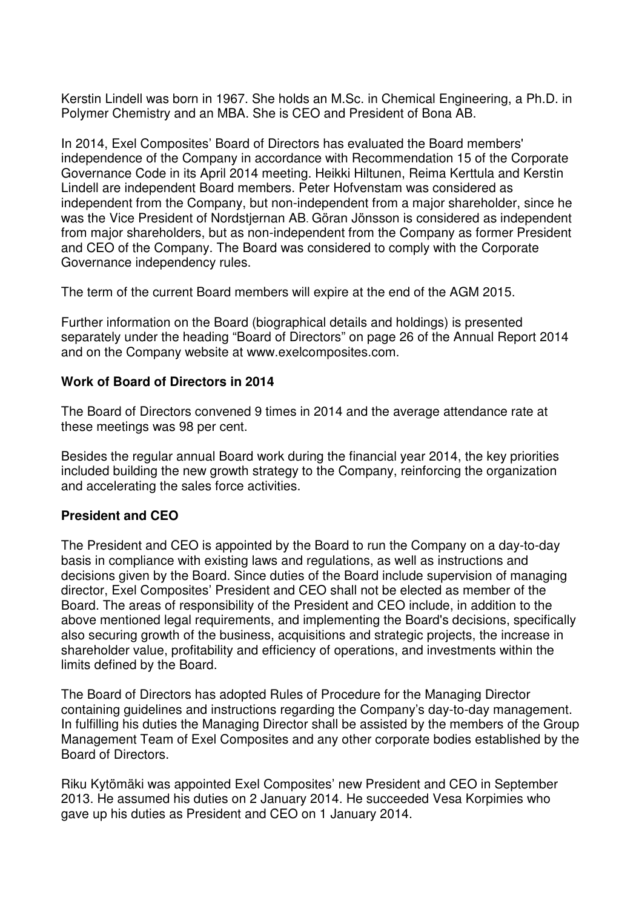Kerstin Lindell was born in 1967. She holds an M.Sc. in Chemical Engineering, a Ph.D. in Polymer Chemistry and an MBA. She is CEO and President of Bona AB.

In 2014, Exel Composites' Board of Directors has evaluated the Board members' independence of the Company in accordance with Recommendation 15 of the Corporate Governance Code in its April 2014 meeting. Heikki Hiltunen, Reima Kerttula and Kerstin Lindell are independent Board members. Peter Hofvenstam was considered as independent from the Company, but non-independent from a major shareholder, since he was the Vice President of Nordstjernan AB. Göran Jönsson is considered as independent from major shareholders, but as non-independent from the Company as former President and CEO of the Company. The Board was considered to comply with the Corporate Governance independency rules.

The term of the current Board members will expire at the end of the AGM 2015.

Further information on the Board (biographical details and holdings) is presented separately under the heading "Board of Directors" on page 26 of the Annual Report 2014 and on the Company website at www.exelcomposites.com.

## **Work of Board of Directors in 2014**

The Board of Directors convened 9 times in 2014 and the average attendance rate at these meetings was 98 per cent.

Besides the regular annual Board work during the financial year 2014, the key priorities included building the new growth strategy to the Company, reinforcing the organization and accelerating the sales force activities.

## **President and CEO**

The President and CEO is appointed by the Board to run the Company on a day-to-day basis in compliance with existing laws and regulations, as well as instructions and decisions given by the Board. Since duties of the Board include supervision of managing director, Exel Composites' President and CEO shall not be elected as member of the Board. The areas of responsibility of the President and CEO include, in addition to the above mentioned legal requirements, and implementing the Board's decisions, specifically also securing growth of the business, acquisitions and strategic projects, the increase in shareholder value, profitability and efficiency of operations, and investments within the limits defined by the Board.

The Board of Directors has adopted Rules of Procedure for the Managing Director containing guidelines and instructions regarding the Company's day-to-day management. In fulfilling his duties the Managing Director shall be assisted by the members of the Group Management Team of Exel Composites and any other corporate bodies established by the Board of Directors.

Riku Kytömäki was appointed Exel Composites' new President and CEO in September 2013. He assumed his duties on 2 January 2014. He succeeded Vesa Korpimies who gave up his duties as President and CEO on 1 January 2014.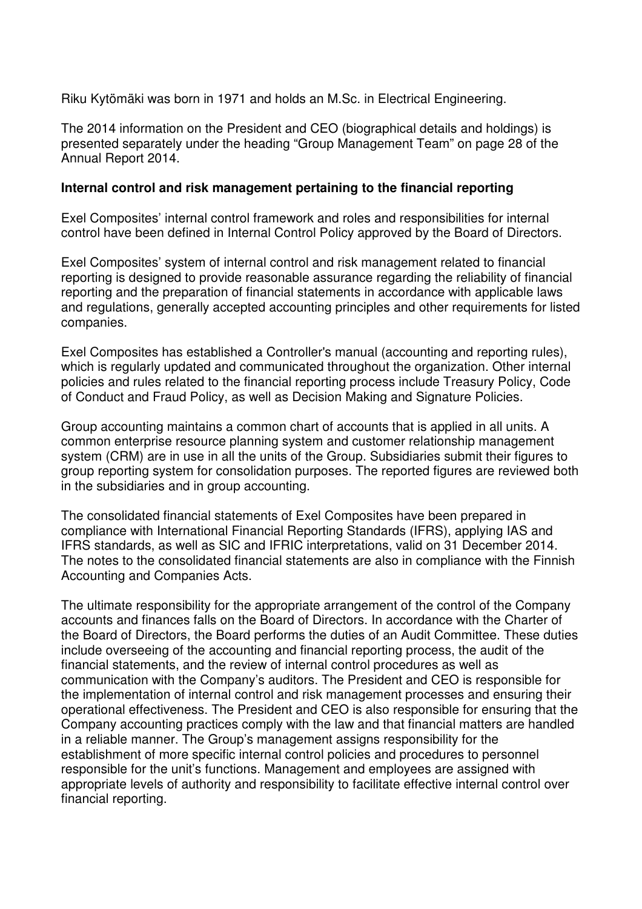Riku Kytömäki was born in 1971 and holds an M.Sc. in Electrical Engineering.

The 2014 information on the President and CEO (biographical details and holdings) is presented separately under the heading "Group Management Team" on page 28 of the Annual Report 2014.

## **Internal control and risk management pertaining to the financial reporting**

Exel Composites' internal control framework and roles and responsibilities for internal control have been defined in Internal Control Policy approved by the Board of Directors.

Exel Composites' system of internal control and risk management related to financial reporting is designed to provide reasonable assurance regarding the reliability of financial reporting and the preparation of financial statements in accordance with applicable laws and regulations, generally accepted accounting principles and other requirements for listed companies.

Exel Composites has established a Controller's manual (accounting and reporting rules), which is regularly updated and communicated throughout the organization. Other internal policies and rules related to the financial reporting process include Treasury Policy, Code of Conduct and Fraud Policy, as well as Decision Making and Signature Policies.

Group accounting maintains a common chart of accounts that is applied in all units. A common enterprise resource planning system and customer relationship management system (CRM) are in use in all the units of the Group. Subsidiaries submit their figures to group reporting system for consolidation purposes. The reported figures are reviewed both in the subsidiaries and in group accounting.

The consolidated financial statements of Exel Composites have been prepared in compliance with International Financial Reporting Standards (IFRS), applying IAS and IFRS standards, as well as SIC and IFRIC interpretations, valid on 31 December 2014. The notes to the consolidated financial statements are also in compliance with the Finnish Accounting and Companies Acts.

The ultimate responsibility for the appropriate arrangement of the control of the Company accounts and finances falls on the Board of Directors. In accordance with the Charter of the Board of Directors, the Board performs the duties of an Audit Committee. These duties include overseeing of the accounting and financial reporting process, the audit of the financial statements, and the review of internal control procedures as well as communication with the Company's auditors. The President and CEO is responsible for the implementation of internal control and risk management processes and ensuring their operational effectiveness. The President and CEO is also responsible for ensuring that the Company accounting practices comply with the law and that financial matters are handled in a reliable manner. The Group's management assigns responsibility for the establishment of more specific internal control policies and procedures to personnel responsible for the unit's functions. Management and employees are assigned with appropriate levels of authority and responsibility to facilitate effective internal control over financial reporting.